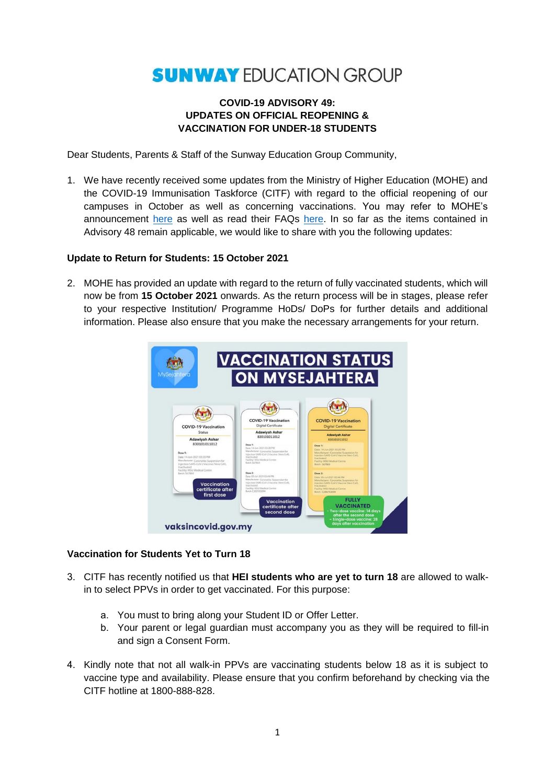# **SUNWAY EDUCATION GROUP**

## **COVID-19 ADVISORY 49: UPDATES ON OFFICIAL REOPENING & VACCINATION FOR UNDER-18 STUDENTS**

Dear Students, Parents & Staff of the Sunway Education Group Community,

1. We have recently received some updates from the Ministry of Higher Education (MOHE) and the COVID-19 Immunisation Taskforce (CITF) with regard to the official reopening of our campuses in October as well as concerning vaccinations. You may refer to MOHE's announcement [here](https://www.mohe.gov.my/hebahan/infografik/kemasukan-pelajar-ke-kampus-ipt-secara-berperingkat-mulai-15-oktober-2021) as well as read their FAQs [here.](https://www.mohe.gov.my/hebahan/soalan-lazim/kemasukan-pelajar-ipt-secara-fizikal-bagi-sesi-akademik-tahun-2021-2022) In so far as the items contained in Advisory 48 remain applicable, we would like to share with you the following updates:

### **Update to Return for Students: 15 October 2021**

2. MOHE has provided an update with regard to the return of fully vaccinated students, which will now be from **15 October 2021** onwards. As the return process will be in stages, please refer to your respective Institution/ Programme HoDs/ DoPs for further details and additional information. Please also ensure that you make the necessary arrangements for your return.



#### **Vaccination for Students Yet to Turn 18**

- 3. CITF has recently notified us that **HEI students who are yet to turn 18** are allowed to walkin to select PPVs in order to get vaccinated. For this purpose:
	- a. You must to bring along your Student ID or Offer Letter.
	- b. Your parent or legal guardian must accompany you as they will be required to fill-in and sign a Consent Form.
- 4. Kindly note that not all walk-in PPVs are vaccinating students below 18 as it is subject to vaccine type and availability. Please ensure that you confirm beforehand by checking via the CITF hotline at 1800-888-828.